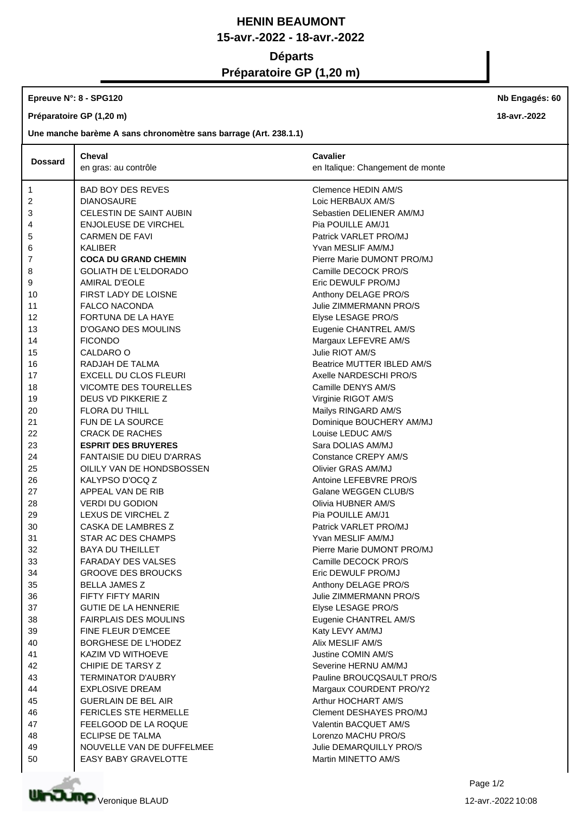# **HENIN BEAUMONT 15-avr.-2022 - 18-avr.-2022 Départs Préparatoire GP (1,20 m)**

## **Epreuve N°: 8 - SPG120**

**Préparatoire GP (1,20 m)**

### **Une manche barème A sans chronomètre sans barrage (Art. 238.1.1)**

|                | <b>Cheval</b>                    | <b>Cavalier</b>                  |
|----------------|----------------------------------|----------------------------------|
| <b>Dossard</b> | en gras: au contrôle             | en Italique: Changement de monte |
|                |                                  |                                  |
| $\mathbf{1}$   | <b>BAD BOY DES REVES</b>         | Clemence HEDIN AM/S              |
| 2              | <b>DIANOSAURE</b>                | Loic HERBAUX AM/S                |
| 3              | CELESTIN DE SAINT AUBIN          | Sebastien DELIENER AM/MJ         |
| 4              | <b>ENJOLEUSE DE VIRCHEL</b>      | Pia POUILLE AM/J1                |
| 5              | <b>CARMEN DE FAVI</b>            | Patrick VARLET PRO/MJ            |
| 6              | KALIBER                          | Yvan MESLIF AM/MJ                |
| 7              | <b>COCA DU GRAND CHEMIN</b>      | Pierre Marie DUMONT PRO/MJ       |
| 8              | <b>GOLIATH DE L'ELDORADO</b>     | Camille DECOCK PRO/S             |
| 9              | AMIRAL D'EOLE                    | Eric DEWULF PRO/MJ               |
| 10             | FIRST LADY DE LOISNE             | Anthony DELAGE PRO/S             |
| 11             | <b>FALCO NACONDA</b>             | Julie ZIMMERMANN PRO/S           |
| 12             | FORTUNA DE LA HAYE               | Elyse LESAGE PRO/S               |
| 13             | <b>D'OGANO DES MOULINS</b>       | Eugenie CHANTREL AM/S            |
| 14             | <b>FICONDO</b>                   | Margaux LEFEVRE AM/S             |
| 15             | CALDARO O                        | Julie RIOT AM/S                  |
| 16             | RADJAH DE TALMA                  | Beatrice MUTTER IBLED AM/S       |
| 17             | <b>EXCELL DU CLOS FLEURI</b>     | Axelle NARDESCHI PRO/S           |
| 18             | VICOMTE DES TOURELLES            | Camille DENYS AM/S               |
| 19             | DEUS VD PIKKERIE Z               | Virginie RIGOT AM/S              |
| 20             | <b>FLORA DU THILL</b>            | Mailys RINGARD AM/S              |
| 21             | FUN DE LA SOURCE                 | Dominique BOUCHERY AM/MJ         |
| 22             | <b>CRACK DE RACHES</b>           | Louise LEDUC AM/S                |
| 23             | <b>ESPRIT DES BRUYERES</b>       | Sara DOLIAS AM/MJ                |
| 24             | <b>FANTAISIE DU DIEU D'ARRAS</b> | Constance CREPY AM/S             |
| 25             | OILILY VAN DE HONDSBOSSEN        | Olivier GRAS AM/MJ               |
| 26             | KALYPSO D'OCQ Z                  | Antoine LEFEBVRE PRO/S           |
| 27             | APPEAL VAN DE RIB                | Galane WEGGEN CLUB/S             |
| 28             | <b>VERDI DU GODION</b>           | Olivia HUBNER AM/S               |
| 29             | LEXUS DE VIRCHEL Z               | Pia POUILLE AM/J1                |
| 30             | CASKA DE LAMBRES Z               | Patrick VARLET PRO/MJ            |
| 31             | <b>STAR AC DES CHAMPS</b>        | Yvan MESLIF AM/MJ                |
| 32             | <b>BAYA DU THEILLET</b>          | Pierre Marie DUMONT PRO/MJ       |
| 33             | <b>FARADAY DES VALSES</b>        | Camille DECOCK PRO/S             |
| 34             | <b>GROOVE DES BROUCKS</b>        | Eric DEWULF PRO/MJ               |
| 35             | <b>BELLA JAMES Z</b>             | Anthony DELAGE PRO/S             |
| 36             | FIFTY FIFTY MARIN                | Julie ZIMMERMANN PRO/S           |
| 37             | <b>GUTIE DE LA HENNERIE</b>      | Elyse LESAGE PRO/S               |
| 38             | <b>FAIRPLAIS DES MOULINS</b>     | Eugenie CHANTREL AM/S            |
| 39             | FINE FLEUR D'EMCEE               | Katy LEVY AM/MJ                  |
| 40             | BORGHESE DE L'HODEZ              | Alix MESLIF AM/S                 |
| 41             | KAZIM VD WITHOEVE                | Justine COMIN AM/S               |
| 42             | CHIPIE DE TARSY Z                | Severine HERNU AM/MJ             |
| 43             | <b>TERMINATOR D'AUBRY</b>        | Pauline BROUCQSAULT PRO/S        |
| 44             | <b>EXPLOSIVE DREAM</b>           | Margaux COURDENT PRO/Y2          |
| 45             | <b>GUERLAIN DE BEL AIR</b>       | Arthur HOCHART AM/S              |
| 46             | <b>FERICLES STE HERMELLE</b>     | Clement DESHAYES PRO/MJ          |
| 47             | FEELGOOD DE LA ROQUE             | Valentin BACQUET AM/S            |
| 48             | <b>ECLIPSE DE TALMA</b>          | Lorenzo MACHU PRO/S              |
| 49             | NOUVELLE VAN DE DUFFELMEE        | Julie DEMARQUILLY PRO/S          |
| 50             | <b>EASY BABY GRAVELOTTE</b>      | Martin MINETTO AM/S              |



**Nb Engagés: 60**

**18-avr.-2022**